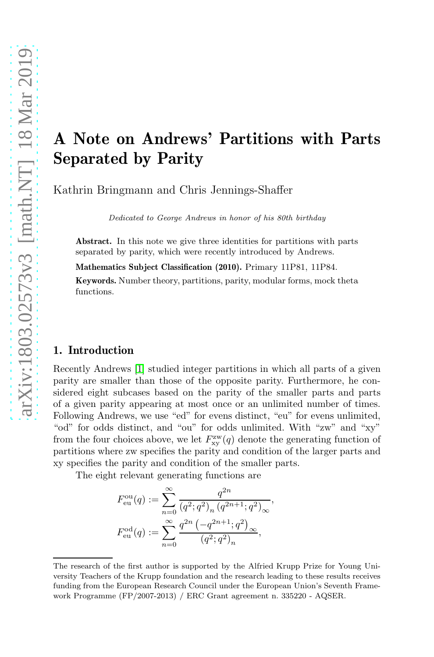# A Note on Andrews' Partitions with Parts Separated by Parity

Kathrin Bringmann and Chris Jennings-Shaffer

Dedicated to George Andrews in honor of his 80th birthday

Abstract. In this note we give three identities for partitions with parts separated by parity, which were recently introduced by Andrews.

Mathematics Subject Classification (2010). Primary 11P81, 11P84.

Keywords. Number theory, partitions, parity, modular forms, mock theta functions.

### 1. Introduction

Recently Andrews [\[1\]](#page-4-0) studied integer partitions in which all parts of a given parity are smaller than those of the opposite parity. Furthermore, he considered eight subcases based on the parity of the smaller parts and parts of a given parity appearing at most once or an unlimited number of times. Following Andrews, we use "ed" for evens distinct, "eu" for evens unlimited, "od" for odds distinct, and "ou" for odds unlimited. With "zw" and "xy" from the four choices above, we let  $F_{xy}^{\text{zw}}(q)$  denote the generating function of partitions where zw specifies the parity and condition of the larger parts and xy specifies the parity and condition of the smaller parts.

The eight relevant generating functions are

$$
F_{\text{eu}}^{\text{ou}}(q) := \sum_{n=0}^{\infty} \frac{q^{2n}}{(q^2; q^2)_n (q^{2n+1}; q^2)_{\infty}},
$$
  

$$
F_{\text{eu}}^{\text{od}}(q) := \sum_{n=0}^{\infty} \frac{q^{2n} (-q^{2n+1}; q^2)_{\infty}}{(q^2; q^2)_n},
$$

The research of the first author is supported by the Alfried Krupp Prize for Young University Teachers of the Krupp foundation and the research leading to these results receives funding from the European Research Council under the European Union's Seventh Framework Programme (FP/2007-2013) / ERC Grant agreement n. 335220 - AQSER.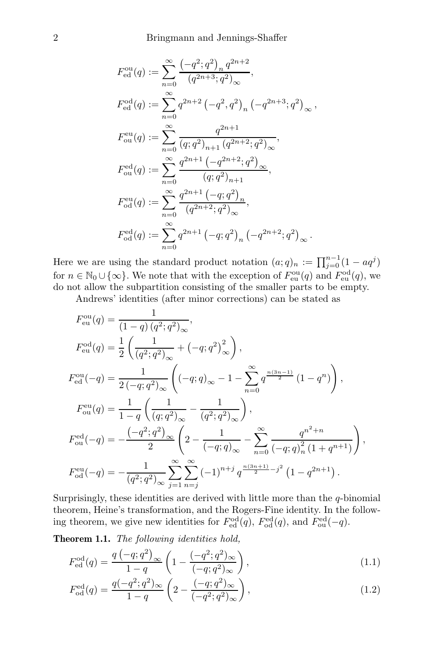$$
\begin{aligned} F_{\text{ed}}^{\text{ou}}(q) &:= \sum_{n=0}^{\infty} \frac{\left(-q^2;q^2\right)_n q^{2n+2}}{\left(q^{2n+3};q^2\right)_{\infty}}, \\ F_{\text{ed}}^{\text{od}}(q) &:= \sum_{n=0}^{\infty} q^{2n+2} \left(-q^2,q^2\right)_n \left(-q^{2n+3};q^2\right)_{\infty}, \\ F_{\text{ou}}^{\text{eu}}(q) &:= \sum_{n=0}^{\infty} \frac{q^{2n+1}}{\left(q;q^2\right)_{n+1} \left(q^{2n+2};q^2\right)_{\infty}}, \\ F_{\text{ou}}^{\text{ed}}(q) &:= \sum_{n=0}^{\infty} \frac{q^{2n+1} \left(-q^{2n+2};q^2\right)_{\infty}}{\left(q;q^2\right)_{n+1}}, \\ F_{\text{od}}^{\text{eu}}(q) &:= \sum_{n=0}^{\infty} \frac{q^{2n+1} \left(-q;q^2\right)_n}{\left(q^{2n+2};q^2\right)_{\infty}}, \\ F_{\text{od}}^{\text{ed}}(q) &:= \sum_{n=0}^{\infty} q^{2n+1} \left(-q;q^2\right)_n \left(-q^{2n+2};q^2\right)_{\infty}. \end{aligned}
$$

Here we are using the standard product notation  $(a;q)_n := \prod_{j=0}^{n-1} (1 - aq^j)$ for  $n \in \mathbb{N}_0 \cup \{\infty\}$ . We note that with the exception of  $F_{\text{eu}}^{\text{ou}}(q)$  and  $F_{\text{eu}}^{\text{od}}(q)$ , we do not allow the subpartition consisting of the smaller parts to be empty.

Andrews' identities (after minor corrections) can be stated as

$$
F_{eu}^{ou}(q) = \frac{1}{(1-q)(q^2;q^2)_{\infty}},
$$
  
\n
$$
F_{eu}^{od}(q) = \frac{1}{2} \left( \frac{1}{(q^2;q^2)_{\infty}} + (-q;q^2)_{\infty}^2 \right),
$$
  
\n
$$
F_{eu}^{ou}(-q) = \frac{1}{2(-q;q^2)_{\infty}} \left( (-q;q)_{\infty} - 1 - \sum_{n=0}^{\infty} q^{\frac{n(3n-1)}{2}} (1-q^n) \right),
$$
  
\n
$$
F_{ou}^{eu}(q) = \frac{1}{1-q} \left( \frac{1}{(q;q^2)_{\infty}} - \frac{1}{(q^2;q^2)_{\infty}} \right),
$$
  
\n
$$
F_{ou}^{ed}(-q) = -\frac{(-q^2;q^2)_{\infty}}{2} \left( 2 - \frac{1}{(-q;q)_{\infty}} - \sum_{n=0}^{\infty} \frac{q^{n^2+n}}{(-q;q)_n^2 (1+q^{n+1})} \right),
$$
  
\n
$$
F_{od}^{eu}(-q) = -\frac{1}{(q^2;q^2)_{\infty}} \sum_{j=1}^{\infty} \sum_{n=j}^{\infty} (-1)^{n+j} q^{\frac{n(3n+1)}{2}-j^2} (1-q^{2n+1}).
$$

Surprisingly, these identities are derived with little more than the  $q$ -binomial theorem, Heine's transformation, and the Rogers-Fine identity. In the following theorem, we give new identities for  $F_{\text{ed}}^{\text{od}}(q)$ ,  $F_{\text{od}}^{\text{ed}}(q)$ , and  $F_{\text{ou}}^{\text{ed}}(-q)$ .

<span id="page-1-0"></span>Theorem 1.1. The following identities hold,

<span id="page-1-1"></span>
$$
F_{\text{ed}}^{\text{od}}(q) = \frac{q(-q;q^2)_{\infty}}{1-q} \left(1 - \frac{(-q^2;q^2)_{\infty}}{(-q;q^2)_{\infty}}\right),\tag{1.1}
$$

<span id="page-1-2"></span>
$$
F_{\text{od}}^{\text{ed}}(q) = \frac{q(-q^2; q^2)_{\infty}}{1 - q} \left(2 - \frac{(-q; q^2)_{\infty}}{(-q^2; q^2)_{\infty}}\right),\tag{1.2}
$$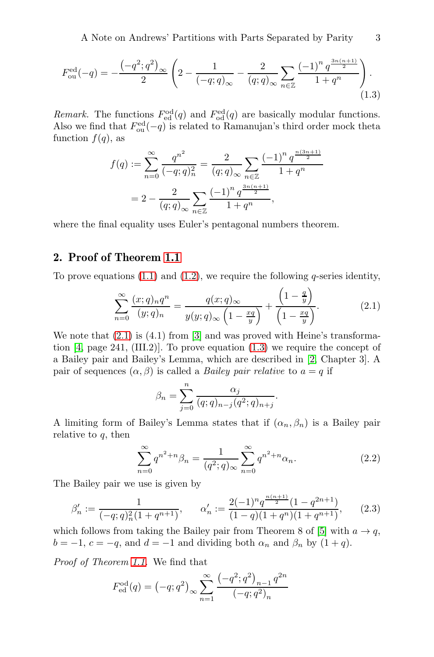A Note on Andrews' Partitions with Parts Separated by Parity 3

$$
F_{\text{ou}}^{\text{ed}}(-q) = -\frac{\left(-q^2; q^2\right)_{\infty}}{2} \left(2 - \frac{1}{\left(-q; q\right)_{\infty}} - \frac{2}{\left(q; q\right)_{\infty}} \sum_{n \in \mathbb{Z}} \frac{\left(-1\right)^n q^{\frac{3n(n+1)}{2}}}{1+q^n}\right). \tag{1.3}
$$

*Remark*. The functions  $F_{\text{ed}}^{\text{od}}(q)$  and  $F_{\text{od}}^{\text{ed}}(q)$  are basically modular functions. Also we find that  $F_{\text{ou}}^{\text{ed}}(-q)$  is related to Ramanujan's third order mock theta function  $f(q)$ , as

<span id="page-2-1"></span>
$$
f(q) := \sum_{n=0}^{\infty} \frac{q^{n^2}}{(-q;q)_n^2} = \frac{2}{(q;q)_{\infty}} \sum_{n \in \mathbb{Z}} \frac{(-1)^n q^{\frac{n(3n+1)}{2}}}{1+q^n}
$$
  
= 
$$
2 - \frac{2}{(q;q)_{\infty}} \sum_{n \in \mathbb{Z}} \frac{(-1)^n q^{\frac{3n(n+1)}{2}}}{1+q^n},
$$

where the final equality uses Euler's pentagonal numbers theorem.

# 2. Proof of Theorem [1.1](#page-1-0)

To prove equations  $(1.1)$  and  $(1.2)$ , we require the following q-series identity,

$$
\sum_{n=0}^{\infty} \frac{(x;q)_n q^n}{(y;q)_n} = \frac{q(x;q)_{\infty}}{y(y;q)_{\infty} \left(1 - \frac{xq}{y}\right)} + \frac{\left(1 - \frac{q}{y}\right)}{\left(1 - \frac{xq}{y}\right)}.
$$
\n(2.1)

We note that  $(2.1)$  is  $(4.1)$  from [\[3\]](#page-4-1) and was proved with Heine's transformation [\[4,](#page-4-2) page 241, (III.2)]. To prove equation [\(1.3\)](#page-2-1) we require the concept of a Bailey pair and Bailey's Lemma, which are described in [\[2,](#page-4-3) Chapter 3]. A pair of sequences  $(\alpha, \beta)$  is called a *Bailey pair relative* to  $a = q$  if

<span id="page-2-2"></span><span id="page-2-0"></span>
$$
\beta_n = \sum_{j=0}^n \frac{\alpha_j}{(q;q)_{n-j}(q^2;q)_{n+j}}.
$$

A limiting form of Bailey's Lemma states that if  $(\alpha_n, \beta_n)$  is a Bailey pair relative to  $q$ , then

<span id="page-2-3"></span>
$$
\sum_{n=0}^{\infty} q^{n^2+n} \beta_n = \frac{1}{(q^2;q)_{\infty}} \sum_{n=0}^{\infty} q^{n^2+n} \alpha_n.
$$
 (2.2)

The Bailey pair we use is given by

$$
\beta_n' := \frac{1}{(-q;q)_n^2 (1+q^{n+1})}, \qquad \alpha_n' := \frac{2(-1)^n q^{\frac{n(n+1)}{2}} (1-q^{2n+1})}{(1-q)(1+q^n)(1+q^{n+1})}, \qquad (2.3)
$$

which follows from taking the Bailey pair from Theorem 8 of [\[5\]](#page-4-4) with  $a \to q$ ,  $b = -1, c = -q$ , and  $d = -1$  and dividing both  $\alpha_n$  and  $\beta_n$  by  $(1 + q)$ .

Proof of Theorem [1.1.](#page-1-0) We find that

$$
F_{\text{ed}}^{\text{od}}(q) = (-q; q^2)_{\infty} \sum_{n=1}^{\infty} \frac{(-q^2; q^2)_{n-1} q^{2n}}{(-q; q^2)_n}
$$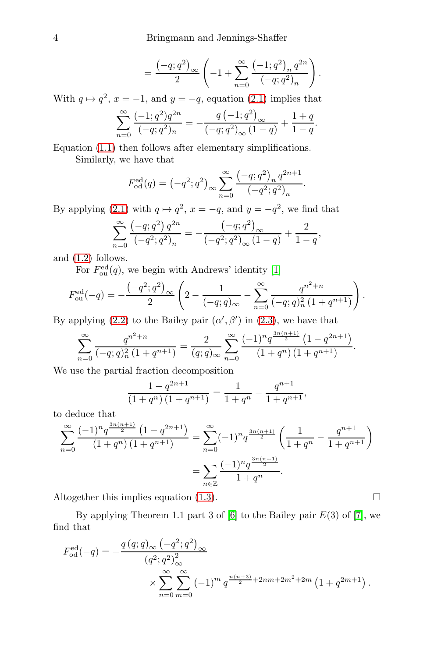$$
=\frac{\left(-q;q^2\right)_{\infty}}{2}\left(-1+\sum_{n=0}^{\infty}\frac{\left(-1;q^2\right)_n q^{2n}}{\left(-q;q^2\right)_n}\right).
$$

With  $q \mapsto q^2$ ,  $x = -1$ , and  $y = -q$ , equation [\(2.1\)](#page-2-0) implies that

$$
\sum_{n=0}^{\infty} \frac{(-1;q^2)q^{2n}}{(-q;q^2)_n} = -\frac{q(-1;q^2)_{\infty}}{(-q;q^2)_{\infty}(1-q)} + \frac{1+q}{1-q}.
$$

Equation [\(1.1\)](#page-1-1) then follows after elementary simplifications. Similarly, we have that

$$
F_{\text{od}}^{\text{ed}}(q) = (-q^2; q^2)_{\infty} \sum_{n=0}^{\infty} \frac{(-q; q^2)_n q^{2n+1}}{(-q^2; q^2)_n}.
$$

By applying [\(2.1\)](#page-2-0) with  $q \mapsto q^2$ ,  $x = -q$ , and  $y = -q^2$ , we find that

$$
\sum_{n=0}^{\infty} \frac{\left(-q;q^2\right)q^{2n}}{\left(-q^2;q^2\right)_n} = -\frac{\left(-q;q^2\right)_{\infty}}{\left(-q^2;q^2\right)_{\infty}\left(1-q\right)} + \frac{2}{1-q},
$$

and [\(1.2\)](#page-1-2) follows.

For  $F_{\text{ou}}^{\text{ed}}(q)$ , we begin with Andrews' identity [\[1\]](#page-4-0)

$$
F_{\text{ou}}^{\text{ed}}(-q) = -\frac{\left(-q^2; q^2\right)_{\infty}}{2} \left(2 - \frac{1}{(-q; q)_{\infty}} - \sum_{n=0}^{\infty} \frac{q^{n^2 + n}}{(-q; q)_n^2 \left(1 + q^{n+1}\right)}\right).
$$

By applying [\(2.2\)](#page-2-2) to the Bailey pair  $(\alpha', \beta')$  in [\(2.3\)](#page-2-3), we have that

$$
\sum_{n=0}^{\infty} \frac{q^{n^2+n}}{(-q;q)_n^2 (1+q^{n+1})} = \frac{2}{(q;q)_{\infty}} \sum_{n=0}^{\infty} \frac{(-1)^n q^{\frac{3n(n+1)}{2}} (1-q^{2n+1})}{(1+q^n)(1+q^{n+1})}.
$$

We use the partial fraction decomposition

$$
\frac{1 - q^{2n+1}}{(1 + q^n) (1 + q^{n+1})} = \frac{1}{1 + q^n} - \frac{q^{n+1}}{1 + q^{n+1}},
$$

to deduce that

$$
\sum_{n=0}^{\infty} \frac{(-1)^n q^{\frac{3n(n+1)}{2}} (1 - q^{2n+1})}{(1 + q^n) (1 + q^{n+1})} = \sum_{n=0}^{\infty} (-1)^n q^{\frac{3n(n+1)}{2}} \left( \frac{1}{1 + q^n} - \frac{q^{n+1}}{1 + q^{n+1}} \right)
$$

$$
= \sum_{n \in \mathbb{Z}} \frac{(-1)^n q^{\frac{3n(n+1)}{2}}}{1 + q^n}.
$$

Altogether this implies equation [\(1.3\)](#page-2-1).  $\Box$ 

By applying Theorem 1.1 part 3 of  $[6]$  to the Bailey pair  $E(3)$  of  $[7]$ , we find that

$$
F_{\text{od}}^{\text{ed}}(-q) = -\frac{q (q;q)_{\infty} (-q^2;q^2)_{\infty}^2}{(q^2;q^2)_{\infty}^2} \times \sum_{n=0}^{\infty} \sum_{m=0}^{\infty} (-1)^m q^{\frac{n(n+3)}{2} + 2nm + 2m^2 + 2m} (1+q^{2m+1}).
$$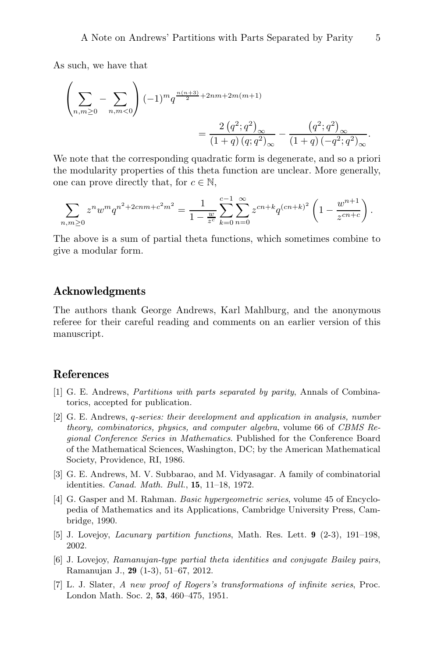As such, we have that

$$
\left(\sum_{n,m\geq 0} -\sum_{n,m<0} \right) (-1)^m q^{\frac{n(n+3)}{2}+2nm+2m(m+1)} = \frac{2 (q^2;q^2)_{\infty}}{(1+q) (q;q^2)_{\infty}} - \frac{(q^2;q^2)_{\infty}}{(1+q) (-q^2;q^2)_{\infty}}.
$$

We note that the corresponding quadratic form is degenerate, and so a priori the modularity properties of this theta function are unclear. More generally, one can prove directly that, for  $c \in \mathbb{N}$ ,

$$
\sum_{n,m\geq 0} z^n w^m q^{n^2+2cnm+c^2m^2} = \frac{1}{1-\frac{w}{z^c}} \sum_{k=0}^{c-1} \sum_{n=0}^{\infty} z^{cn+k} q^{(cn+k)^2} \left(1-\frac{w^{n+1}}{z^{cn+c}}\right).
$$

The above is a sum of partial theta functions, which sometimes combine to give a modular form.

## Acknowledgments

The authors thank George Andrews, Karl Mahlburg, and the anonymous referee for their careful reading and comments on an earlier version of this manuscript.

## <span id="page-4-0"></span>References

- [1] G. E. Andrews, Partitions with parts separated by parity, Annals of Combinatorics, accepted for publication.
- <span id="page-4-3"></span>[2] G. E. Andrews, q-series: their development and application in analysis, number theory, combinatorics, physics, and computer algebra, volume 66 of CBMS Regional Conference Series in Mathematics. Published for the Conference Board of the Mathematical Sciences, Washington, DC; by the American Mathematical Society, Providence, RI, 1986.
- <span id="page-4-1"></span>[3] G. E. Andrews, M. V. Subbarao, and M. Vidyasagar. A family of combinatorial identities. Canad. Math. Bull., 15, 11–18, 1972.
- <span id="page-4-2"></span>[4] G. Gasper and M. Rahman. Basic hypergeometric series, volume 45 of Encyclopedia of Mathematics and its Applications, Cambridge University Press, Cambridge, 1990.
- <span id="page-4-4"></span>[5] J. Lovejoy, Lacunary partition functions, Math. Res. Lett. 9 (2-3), 191–198, 2002.
- <span id="page-4-5"></span>[6] J. Lovejoy, Ramanujan-type partial theta identities and conjugate Bailey pairs, Ramanujan J., 29 (1-3), 51–67, 2012.
- <span id="page-4-6"></span>[7] L. J. Slater, A new proof of Rogers's transformations of infinite series, Proc. London Math. Soc. 2, 53, 460–475, 1951.